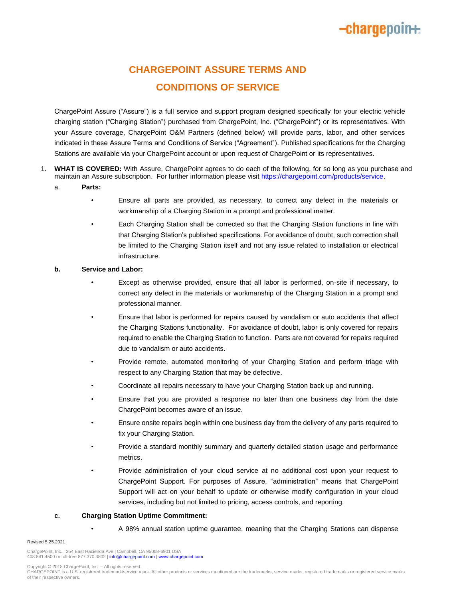# **-charge**poin+:

## **CHARGEPOINT ASSURE TERMS AND CONDITIONS OF SERVICE**

ChargePoint Assure ("Assure") is a full service and support program designed specifically for your electric vehicle charging station ("Charging Station") purchased from ChargePoint, Inc. ("ChargePoint") or its representatives. With your Assure coverage, ChargePoint O&M Partners (defined below) will provide parts, labor, and other services indicated in these Assure Terms and Conditions of Service ("Agreement"). Published specifications for the Charging Stations are available via your ChargePoint account or upon request of ChargePoint or its representatives.

- 1. **WHAT IS COVERED:** With Assure, ChargePoint agrees to do each of the following, for so long as you purchase and maintain an Assure subscription. For further information please visi[t https://chargepoint.com/products/service.](https://chargepoint.com/products/service)
	- a. **Parts:**
		- Ensure all parts are provided, as necessary, to correct any defect in the materials or workmanship of a Charging Station in a prompt and professional matter.
		- Each Charging Station shall be corrected so that the Charging Station functions in line with that Charging Station's published specifications. For avoidance of doubt, such correction shall be limited to the Charging Station itself and not any issue related to installation or electrical infrastructure.

### **b. Service and Labor:**

- Except as otherwise provided, ensure that all labor is performed, on-site if necessary, to correct any defect in the materials or workmanship of the Charging Station in a prompt and professional manner.
- Ensure that labor is performed for repairs caused by vandalism or auto accidents that affect the Charging Stations functionality. For avoidance of doubt, labor is only covered for repairs required to enable the Charging Station to function. Parts are not covered for repairs required due to vandalism or auto accidents.
- Provide remote, automated monitoring of your Charging Station and perform triage with respect to any Charging Station that may be defective.
- Coordinate all repairs necessary to have your Charging Station back up and running.
- Ensure that you are provided a response no later than one business day from the date ChargePoint becomes aware of an issue.
- Ensure onsite repairs begin within one business day from the delivery of any parts required to fix your Charging Station.
- Provide a standard monthly summary and quarterly detailed station usage and performance metrics.
- Provide administration of your cloud service at no additional cost upon your request to ChargePoint Support. For purposes of Assure, "administration" means that ChargePoint Support will act on your behalf to update or otherwise modify configuration in your cloud services, including but not limited to pricing, access controls, and reporting.

### **c. Charging Station Uptime Commitment:**

• A 98% annual station uptime guarantee, meaning that the Charging Stations can dispense

#### Revised 5.25.2021

ChargePoint, Inc. | 254 East Hacienda Ave | Campbell, CA 95008-6901 USA<br>408.841.4500 or toll-free 877.370.3802 | **info@chargepoint.com | [www.chargepoint.com](http://www.chargepoint.com/)** 

Copyright © 2018 ChargePoint, Inc. – All rights reserved.

CHARGEPOINT is a U.S. registered trademark/service mark. All other products or services mentioned are the trademarks, service marks, registered trademarks or registered service marks of their respective owners.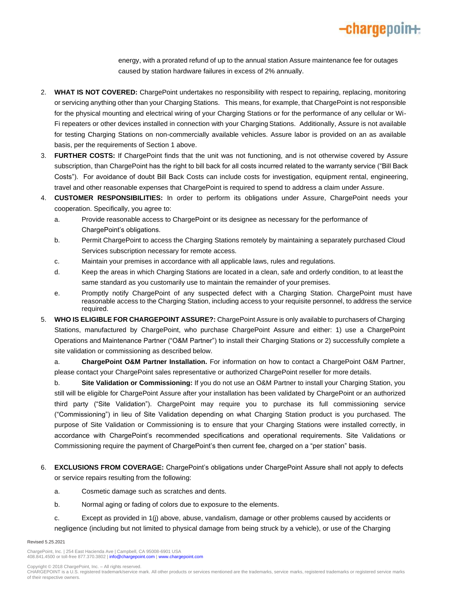

energy, with a prorated refund of up to the annual station Assure maintenance fee for outages caused by station hardware failures in excess of 2% annually.

- 2. **WHAT IS NOT COVERED:** ChargePoint undertakes no responsibility with respect to repairing, replacing, monitoring or servicing anything other than your Charging Stations. This means, for example, that ChargePoint is not responsible for the physical mounting and electrical wiring of your Charging Stations or for the performance of any cellular or Wi-Fi repeaters or other devices installed in connection with your Charging Stations. Additionally, Assure is not available for testing Charging Stations on non-commercially available vehicles. Assure labor is provided on an as available basis, per the requirements of Section 1 above.
- 3. **FURTHER COSTS:** If ChargePoint finds that the unit was not functioning, and is not otherwise covered by Assure subscription, than ChargePoint has the right to bill back for all costs incurred related to the warranty service ("Bill Back Costs"). For avoidance of doubt Bill Back Costs can include costs for investigation, equipment rental, engineering, travel and other reasonable expenses that ChargePoint is required to spend to address a claim under Assure.
- 4. **CUSTOMER RESPONSIBILITIES:** In order to perform its obligations under Assure, ChargePoint needs your cooperation. Specifically, you agree to:
	- a. Provide reasonable access to ChargePoint or its designee as necessary for the performance of ChargePoint's obligations.
	- b. Permit ChargePoint to access the Charging Stations remotely by maintaining a separately purchased Cloud Services subscription necessary for remote access.
	- c. Maintain your premises in accordance with all applicable laws, rules and regulations.
	- d. Keep the areas in which Charging Stations are located in a clean, safe and orderly condition, to at least the same standard as you customarily use to maintain the remainder of your premises.
	- e. Promptly notify ChargePoint of any suspected defect with a Charging Station. ChargePoint must have reasonable access to the Charging Station, including access to your requisite personnel, to address the service required.
- 5. **WHO IS ELIGIBLE FOR CHARGEPOINT ASSURE?:** ChargePoint Assure is only available to purchasers of Charging Stations, manufactured by ChargePoint, who purchase ChargePoint Assure and either: 1) use a ChargePoint Operations and Maintenance Partner ("O&M Partner") to install their Charging Stations or 2) successfully complete a site validation or commissioning as described below.

a. **ChargePoint O&M Partner Installation.** For information on how to contact a ChargePoint O&M Partner, please contact your ChargePoint sales representative or authorized ChargePoint reseller for more details.

b. **Site Validation or Commissioning:** If you do not use an O&M Partner to install your Charging Station, you still will be eligible for ChargePoint Assure after your installation has been validated by ChargePoint or an authorized third party ("Site Validation"). ChargePoint may require you to purchase its full commissioning service ("Commissioning") in lieu of Site Validation depending on what Charging Station product is you purchased. The purpose of Site Validation or Commissioning is to ensure that your Charging Stations were installed correctly, in accordance with ChargePoint's recommended specifications and operational requirements. Site Validations or Commissioning require the payment of ChargePoint's then current fee, charged on a "per station" basis.

- 6. **EXCLUSIONS FROM COVERAGE:** ChargePoint's obligations under ChargePoint Assure shall not apply to defects or service repairs resulting from the following:
	- a. Cosmetic damage such as scratches and dents.
	- b. Normal aging or fading of colors due to exposure to the elements.
	- c. Except as provided in 1(j) above, abuse, vandalism, damage or other problems caused by accidents or negligence (including but not limited to physical damage from being struck by a vehicle), or use of the Charging

#### Revised 5.25.2021

ChargePoint, Inc. | 254 East Hacienda Ave | Campbell, CA 95008-6901 USA<br>408.841.4500 or toll-free 877.370.3802 | **info@chargepoint.com | [www.chargepoint.com](http://www.chargepoint.com/)** 

Copyright © 2018 ChargePoint, Inc. – All rights reserved.

CHARGEPOINT is a U.S. registered trademark/service mark. All other products or services mentioned are the trademarks, service marks, registered trademarks or registered service marks of their respective owners.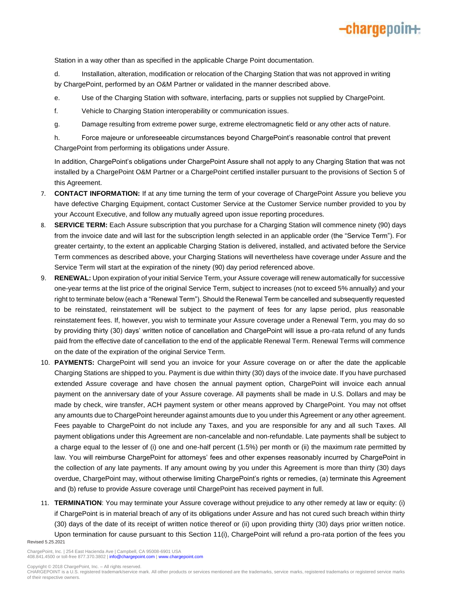## -chargepoin+

Station in a way other than as specified in the applicable Charge Point documentation.

d. Installation, alteration, modification or relocation of the Charging Station that was not approved in writing by ChargePoint, performed by an O&M Partner or validated in the manner described above.

- e. Use of the Charging Station with software, interfacing, parts or supplies not supplied by ChargePoint.
- f. Vehicle to Charging Station interoperability or communication issues.
- g. Damage resulting from extreme power surge, extreme electromagnetic field or any other acts of nature.

h. Force majeure or unforeseeable circumstances beyond ChargePoint's reasonable control that prevent ChargePoint from performing its obligations under Assure.

In addition, ChargePoint's obligations under ChargePoint Assure shall not apply to any Charging Station that was not installed by a ChargePoint O&M Partner or a ChargePoint certified installer pursuant to the provisions of Section 5 of this Agreement.

- 7. **CONTACT INFORMATION:** If at any time turning the term of your coverage of ChargePoint Assure you believe you have defective Charging Equipment, contact Customer Service at the Customer Service number provided to you by your Account Executive, and follow any mutually agreed upon issue reporting procedures.
- 8. **SERVICE TERM:** Each Assure subscription that you purchase for a Charging Station will commence ninety (90) days from the invoice date and will last for the subscription length selected in an applicable order (the "Service Term"). For greater certainty, to the extent an applicable Charging Station is delivered, installed, and activated before the Service Term commences as described above, your Charging Stations will nevertheless have coverage under Assure and the Service Term will start at the expiration of the ninety (90) day period referenced above.
- 9. **RENEWAL:** Upon expiration of your initial Service Term, your Assure coverage will renew automatically for successive one-year terms at the list price of the original Service Term, subject to increases (not to exceed 5% annually) and your right to terminate below (each a "Renewal Term"). Should the Renewal Term be cancelled and subsequently requested to be reinstated, reinstatement will be subject to the payment of fees for any lapse period, plus reasonable reinstatement fees. If, however, you wish to terminate your Assure coverage under a Renewal Term, you may do so by providing thirty (30) days' written notice of cancellation and ChargePoint will issue a pro-rata refund of any funds paid from the effective date of cancellation to the end of the applicable Renewal Term. Renewal Terms will commence on the date of the expiration of the original Service Term.
- 10. **PAYMENTS:** ChargePoint will send you an invoice for your Assure coverage on or after the date the applicable Charging Stations are shipped to you. Payment is due within thirty (30) days of the invoice date. If you have purchased extended Assure coverage and have chosen the annual payment option, ChargePoint will invoice each annual payment on the anniversary date of your Assure coverage. All payments shall be made in U.S. Dollars and may be made by check, wire transfer, ACH payment system or other means approved by ChargePoint. You may not offset any amounts due to ChargePoint hereunder against amounts due to you under this Agreement or any other agreement. Fees payable to ChargePoint do not include any Taxes, and you are responsible for any and all such Taxes. All payment obligations under this Agreement are non-cancelable and non-refundable. Late payments shall be subject to a charge equal to the lesser of (i) one and one-half percent (1.5%) per month or (ii) the maximum rate permitted by law. You will reimburse ChargePoint for attorneys' fees and other expenses reasonably incurred by ChargePoint in the collection of any late payments. If any amount owing by you under this Agreement is more than thirty (30) days overdue, ChargePoint may, without otherwise limiting ChargePoint's rights or remedies, (a) terminate this Agreement and (b) refuse to provide Assure coverage until ChargePoint has received payment in full.
- 11. **TERMINATION**: You may terminate your Assure coverage without prejudice to any other remedy at law or equity: (i) if ChargePoint is in material breach of any of its obligations under Assure and has not cured such breach within thirty (30) days of the date of its receipt of written notice thereof or (ii) upon providing thirty (30) days prior written notice. Upon termination for cause pursuant to this Section 11(i), ChargePoint will refund a pro-rata portion of the fees you

Revised 5.25.2021

ChargePoint, Inc. | 254 East Hacienda Ave | Campbell, CA 95008-6901 USA<br>408.841.4500 or toll-free 877.370.3802 | **info@chargepoint.com | [www.chargepoint.com](http://www.chargepoint.com/)** 

CHARGEPOINT is a U.S. registered trademark/service mark. All other products or services mentioned are the trademarks, service marks, registered trademarks or registered service marks of their respective owners.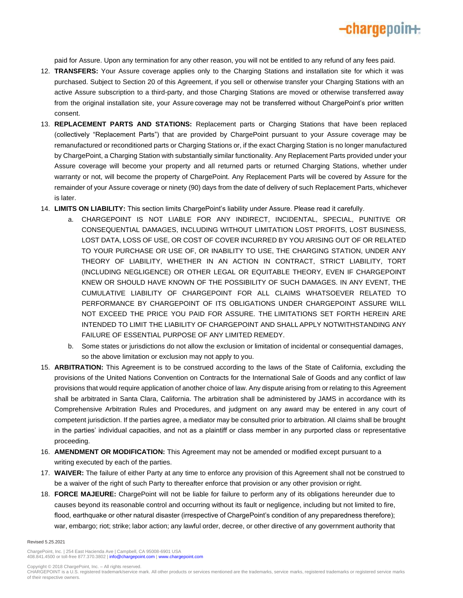paid for Assure. Upon any termination for any other reason, you will not be entitled to any refund of any fees paid.

-chargepoin+

- 12. **TRANSFERS:** Your Assure coverage applies only to the Charging Stations and installation site for which it was purchased. Subject to Section 20 of this Agreement, if you sell or otherwise transfer your Charging Stations with an active Assure subscription to a third-party, and those Charging Stations are moved or otherwise transferred away from the original installation site, your Assure coverage may not be transferred without ChargePoint's prior written consent.
- 13. **REPLACEMENT PARTS AND STATIONS:** Replacement parts or Charging Stations that have been replaced (collectively "Replacement Parts") that are provided by ChargePoint pursuant to your Assure coverage may be remanufactured or reconditioned parts or Charging Stations or, if the exact Charging Station is no longer manufactured by ChargePoint, a Charging Station with substantially similar functionality. Any Replacement Parts provided under your Assure coverage will become your property and all returned parts or returned Charging Stations, whether under warranty or not, will become the property of ChargePoint. Any Replacement Parts will be covered by Assure for the remainder of your Assure coverage or ninety (90) days from the date of delivery of such Replacement Parts, whichever is later.
- 14. **LIMITS ON LIABILITY:** This section limits ChargePoint's liability under Assure. Please read it carefully.
	- a. CHARGEPOINT IS NOT LIABLE FOR ANY INDIRECT, INCIDENTAL, SPECIAL, PUNITIVE OR CONSEQUENTIAL DAMAGES, INCLUDING WITHOUT LIMITATION LOST PROFITS, LOST BUSINESS, LOST DATA, LOSS OF USE, OR COST OF COVER INCURRED BY YOU ARISING OUT OF OR RELATED TO YOUR PURCHASE OR USE OF, OR INABILITY TO USE, THE CHARGING STATION, UNDER ANY THEORY OF LIABILITY, WHETHER IN AN ACTION IN CONTRACT, STRICT LIABILITY, TORT (INCLUDING NEGLIGENCE) OR OTHER LEGAL OR EQUITABLE THEORY, EVEN IF CHARGEPOINT KNEW OR SHOULD HAVE KNOWN OF THE POSSIBILITY OF SUCH DAMAGES. IN ANY EVENT, THE CUMULATIVE LIABILITY OF CHARGEPOINT FOR ALL CLAIMS WHATSOEVER RELATED TO PERFORMANCE BY CHARGEPOINT OF ITS OBLIGATIONS UNDER CHARGEPOINT ASSURE WILL NOT EXCEED THE PRICE YOU PAID FOR ASSURE. THE LIMITATIONS SET FORTH HEREIN ARE INTENDED TO LIMIT THE LIABILITY OF CHARGEPOINT AND SHALL APPLY NOTWITHSTANDING ANY FAILURE OF ESSENTIAL PURPOSE OF ANY LIMITED REMEDY.
	- b. Some states or jurisdictions do not allow the exclusion or limitation of incidental or consequential damages, so the above limitation or exclusion may not apply to you.
- 15. **ARBITRATION:** This Agreement is to be construed according to the laws of the State of California, excluding the provisions of the United Nations Convention on Contracts for the International Sale of Goods and any conflict of law provisions that would require application of another choice of law. Any dispute arising from or relating to this Agreement shall be arbitrated in Santa Clara, California. The arbitration shall be administered by JAMS in accordance with its Comprehensive Arbitration Rules and Procedures, and judgment on any award may be entered in any court of competent jurisdiction. If the parties agree, a mediator may be consulted prior to arbitration. All claims shall be brought in the parties' individual capacities, and not as a plaintiff or class member in any purported class or representative proceeding.
- 16. **AMENDMENT OR MODIFICATION:** This Agreement may not be amended or modified except pursuant to a writing executed by each of the parties.
- 17. **WAIVER:** The failure of either Party at any time to enforce any provision of this Agreement shall not be construed to be a waiver of the right of such Party to thereafter enforce that provision or any other provision or right.
- 18. **FORCE MAJEURE:** ChargePoint will not be liable for failure to perform any of its obligations hereunder due to causes beyond its reasonable control and occurring without its fault or negligence, including but not limited to fire, flood, earthquake or other natural disaster (irrespective of ChargePoint's condition of any preparedness therefore); war, embargo; riot; strike; labor action; any lawful order, decree, or other directive of any government authority that

#### Revised 5.25.2021

ChargePoint, Inc. | 254 East Hacienda Ave | Campbell, CA 95008-6901 USA<br>408.841.4500 or toll-free 877.370.3802 | **info@chargepoint.com | [www.chargepoint.com](http://www.chargepoint.com/)** 

Copyright © 2018 ChargePoint, Inc. – All rights reserved.

CHARGEPOINT is a U.S. registered trademark/service mark. All other products or services mentioned are the trademarks, service marks, registered trademarks or registered service marks of their respective owners.